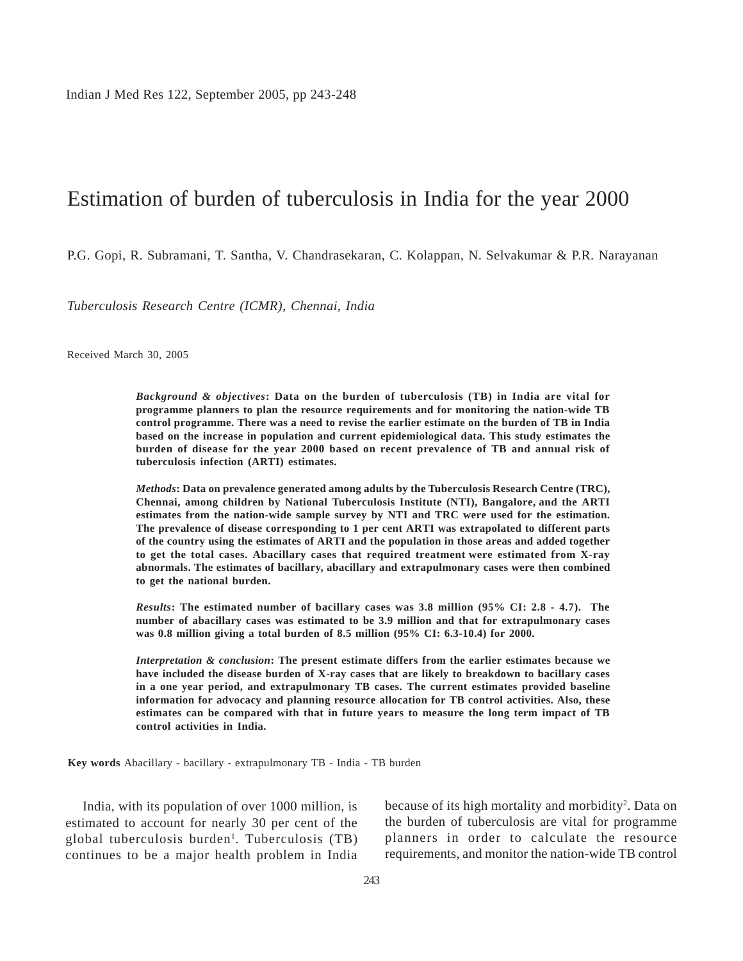Indian J Med Res 122, September 2005, pp 243-248

# Estimation of burden of tuberculosis in India for the year 2000

P.G. Gopi, R. Subramani, T. Santha, V. Chandrasekaran, C. Kolappan, N. Selvakumar & P.R. Narayanan

*Tuberculosis Research Centre (ICMR), Chennai, India*

Received March 30, 2005

*Background & objectives***: Data on the burden of tuberculosis (TB) in India are vital for programme planners to plan the resource requirements and for monitoring the nation-wide TB control programme. There was a need to revise the earlier estimate on the burden of TB in India based on the increase in population and current epidemiological data. This study estimates the burden of disease for the year 2000 based on recent prevalence of TB and annual risk of tuberculosis infection (ARTI) estimates.**

*Methods***: Data on prevalence generated among adults by the Tuberculosis Research Centre (TRC), Chennai, among children by National Tuberculosis Institute (NTI), Bangalore, and the ARTI estimates from the nation-wide sample survey by NTI and TRC were used for the estimation. The prevalence of disease corresponding to 1 per cent ARTI was extrapolated to different parts of the country using the estimates of ARTI and the population in those areas and added together to get the total cases. Abacillary cases that required treatment were estimated from X-ray abnormals. The estimates of bacillary, abacillary and extrapulmonary cases were then combined to get the national burden.**

*Results***: The estimated number of bacillary cases was 3.8 million (95% CI: 2.8 - 4.7). The number of abacillary cases was estimated to be 3.9 million and that for extrapulmonary cases was 0.8 million giving a total burden of 8.5 million (95% CI: 6.3-10.4) for 2000.**

*Interpretation & conclusion***: The present estimate differs from the earlier estimates because we have included the disease burden of X-ray cases that are likely to breakdown to bacillary cases in a one year period, and extrapulmonary TB cases. The current estimates provided baseline information for advocacy and planning resource allocation for TB control activities. Also, these estimates can be compared with that in future years to measure the long term impact of TB control activities in India.**

**Key words** Abacillary - bacillary - extrapulmonary TB - India - TB burden

India, with its population of over 1000 million, is estimated to account for nearly 30 per cent of the global tuberculosis burden<sup>1</sup>. Tuberculosis (TB) continues to be a major health problem in India

because of its high mortality and morbidity<sup>2</sup>. Data on the burden of tuberculosis are vital for programme planners in order to calculate the resource requirements, and monitor the nation-wide TB control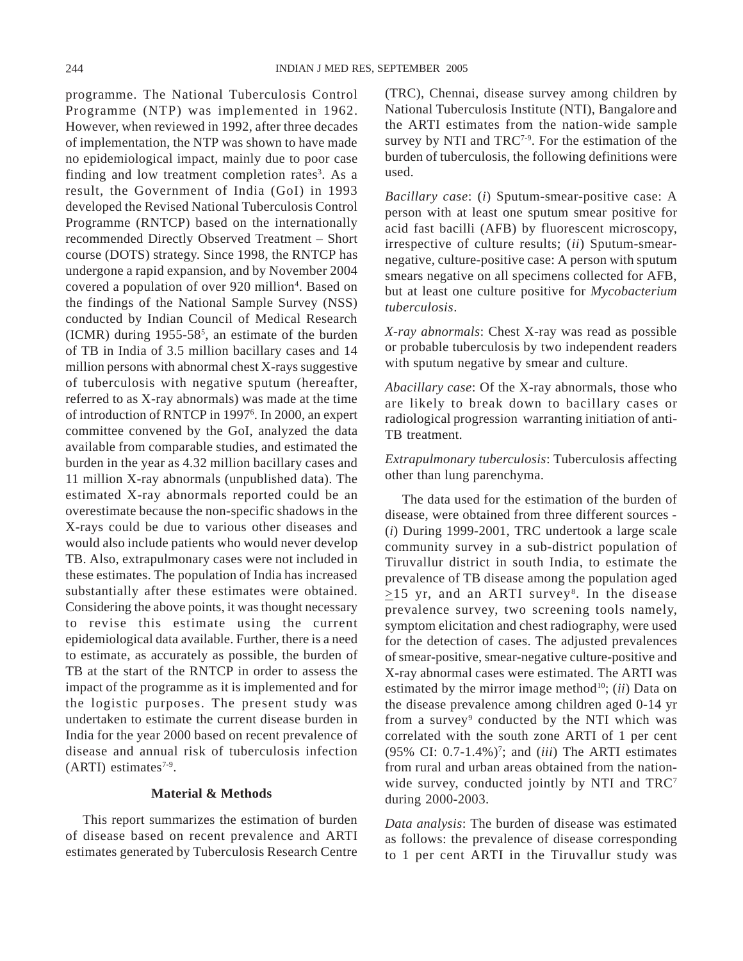programme. The National Tuberculosis Control Programme (NTP) was implemented in 1962. However, when reviewed in 1992, after three decades of implementation, the NTP was shown to have made no epidemiological impact, mainly due to poor case finding and low treatment completion rates<sup>3</sup>. As a result, the Government of India (GoI) in 1993 developed the Revised National Tuberculosis Control Programme (RNTCP) based on the internationally recommended Directly Observed Treatment – Short course (DOTS) strategy. Since 1998, the RNTCP has undergone a rapid expansion, and by November 2004 covered a population of over 920 million<sup>4</sup>. Based on the findings of the National Sample Survey (NSS) conducted by Indian Council of Medical Research  $(ICMR)$  during 1955-58<sup>5</sup>, an estimate of the burden of TB in India of 3.5 million bacillary cases and 14 million persons with abnormal chest X-rays suggestive of tuberculosis with negative sputum (hereafter, referred to as X-ray abnormals) was made at the time of introduction of RNTCP in 19976 . In 2000, an expert committee convened by the GoI, analyzed the data available from comparable studies, and estimated the burden in the year as 4.32 million bacillary cases and 11 million X-ray abnormals (unpublished data). The estimated X-ray abnormals reported could be an overestimate because the non-specific shadows in the X-rays could be due to various other diseases and would also include patients who would never develop TB. Also, extrapulmonary cases were not included in these estimates. The population of India has increased substantially after these estimates were obtained. Considering the above points, it was thought necessary to revise this estimate using the current epidemiological data available. Further, there is a need to estimate, as accurately as possible, the burden of TB at the start of the RNTCP in order to assess the impact of the programme as it is implemented and for the logistic purposes. The present study was undertaken to estimate the current disease burden in India for the year 2000 based on recent prevalence of disease and annual risk of tuberculosis infection  $(ARTI)$  estimates<sup>7-9</sup>.

# **Material & Methods**

This report summarizes the estimation of burden of disease based on recent prevalence and ARTI estimates generated by Tuberculosis Research Centre

(TRC), Chennai, disease survey among children by National Tuberculosis Institute (NTI), Bangalore and the ARTI estimates from the nation-wide sample survey by NTI and TRC<sup>7-9</sup>. For the estimation of the burden of tuberculosis, the following definitions were used.

*Bacillary case*: (*i*) Sputum-smear-positive case: A person with at least one sputum smear positive for acid fast bacilli (AFB) by fluorescent microscopy, irrespective of culture results; (*ii*) Sputum-smearnegative, culture-positive case: A person with sputum smears negative on all specimens collected for AFB, but at least one culture positive for *Mycobacterium tuberculosis*.

*X-ray abnormals*: Chest X-ray was read as possible or probable tuberculosis by two independent readers with sputum negative by smear and culture.

*Abacillary case*: Of the X-ray abnormals, those who are likely to break down to bacillary cases or radiological progression warranting initiation of anti-TB treatment.

*Extrapulmonary tuberculosis*: Tuberculosis affecting other than lung parenchyma.

The data used for the estimation of the burden of disease, were obtained from three different sources - (*i*) During 1999-2001, TRC undertook a large scale community survey in a sub-district population of Tiruvallur district in south India, to estimate the prevalence of TB disease among the population aged  $\geq$ 15 yr, and an ARTI survey<sup>8</sup>. In the disease prevalence survey, two screening tools namely, symptom elicitation and chest radiography, were used for the detection of cases. The adjusted prevalences of smear-positive, smear-negative culture-positive and X-ray abnormal cases were estimated. The ARTI was estimated by the mirror image method<sup>10</sup>; *(ii)* Data on the disease prevalence among children aged 0-14 yr from a survey<sup>9</sup> conducted by the NTI which was correlated with the south zone ARTI of 1 per cent  $(95\% \text{ CI: } 0.7-1.4\%)$ <sup>7</sup>; and *(iii)* The ARTI estimates from rural and urban areas obtained from the nationwide survey, conducted jointly by NTI and TRC<sup>7</sup> during 2000-2003.

*Data analysis*: The burden of disease was estimated as follows: the prevalence of disease corresponding to 1 per cent ARTI in the Tiruvallur study was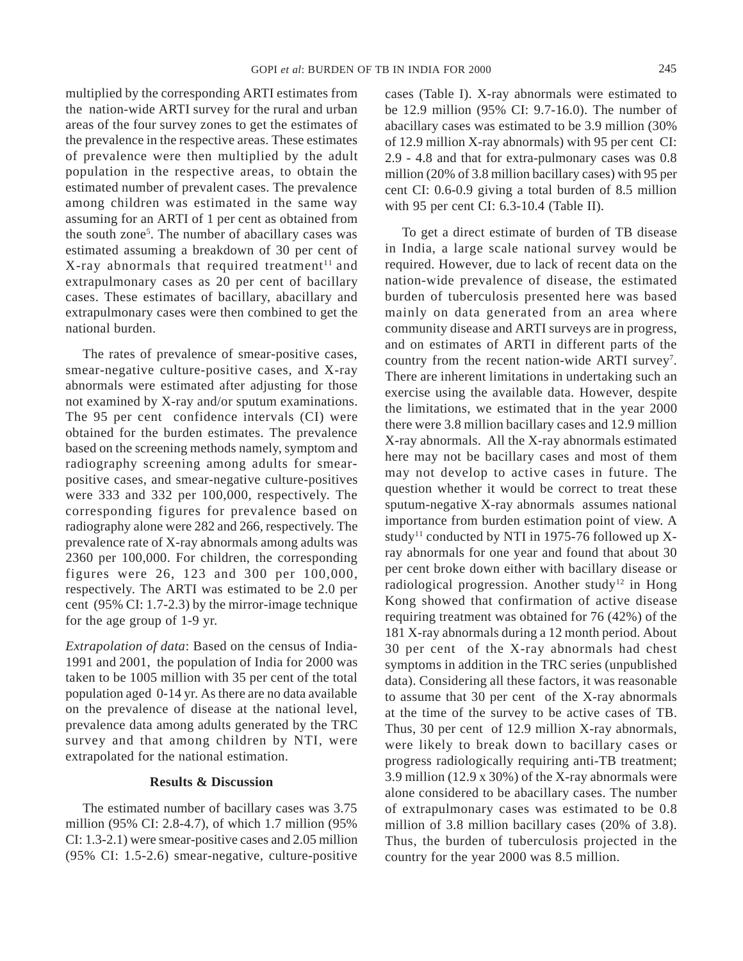multiplied by the corresponding ARTI estimates from the nation-wide ARTI survey for the rural and urban areas of the four survey zones to get the estimates of the prevalence in the respective areas. These estimates of prevalence were then multiplied by the adult population in the respective areas, to obtain the estimated number of prevalent cases. The prevalence among children was estimated in the same way assuming for an ARTI of 1 per cent as obtained from the south zone<sup>5</sup>. The number of abacillary cases was estimated assuming a breakdown of 30 per cent of  $X$ -ray abnormals that required treatment<sup>11</sup> and extrapulmonary cases as 20 per cent of bacillary cases. These estimates of bacillary, abacillary and extrapulmonary cases were then combined to get the national burden.

The rates of prevalence of smear-positive cases, smear-negative culture-positive cases, and X-ray abnormals were estimated after adjusting for those not examined by X-ray and/or sputum examinations. The 95 per cent confidence intervals (CI) were obtained for the burden estimates. The prevalence based on the screening methods namely, symptom and radiography screening among adults for smearpositive cases, and smear-negative culture-positives were 333 and 332 per 100,000, respectively. The corresponding figures for prevalence based on radiography alone were 282 and 266, respectively. The prevalence rate of X-ray abnormals among adults was 2360 per 100,000. For children, the corresponding figures were 26, 123 and 300 per 100,000, respectively. The ARTI was estimated to be 2.0 per cent (95% CI: 1.7-2.3) by the mirror-image technique for the age group of 1-9 yr.

*Extrapolation of data*: Based on the census of India-1991 and 2001, the population of India for 2000 was taken to be 1005 million with 35 per cent of the total population aged 0-14 yr. As there are no data available on the prevalence of disease at the national level, prevalence data among adults generated by the TRC survey and that among children by NTI, were extrapolated for the national estimation.

# **Results & Discussion**

The estimated number of bacillary cases was 3.75 million (95% CI: 2.8-4.7), of which 1.7 million (95% CI: 1.3-2.1) were smear-positive cases and 2.05 million (95% CI: 1.5-2.6) smear-negative, culture-positive cases (Table I). X-ray abnormals were estimated to be 12.9 million (95% CI: 9.7-16.0). The number of abacillary cases was estimated to be 3.9 million (30% of 12.9 million X-ray abnormals) with 95 per cent CI: 2.9 - 4.8 and that for extra-pulmonary cases was 0.8 million (20% of 3.8 million bacillary cases) with 95 per cent CI: 0.6-0.9 giving a total burden of 8.5 million with 95 per cent CI: 6.3-10.4 (Table II).

To get a direct estimate of burden of TB disease in India, a large scale national survey would be required. However, due to lack of recent data on the nation-wide prevalence of disease, the estimated burden of tuberculosis presented here was based mainly on data generated from an area where community disease and ARTI surveys are in progress, and on estimates of ARTI in different parts of the country from the recent nation-wide ARTI survey<sup>7</sup>. There are inherent limitations in undertaking such an exercise using the available data. However, despite the limitations, we estimated that in the year 2000 there were 3.8 million bacillary cases and 12.9 million X-ray abnormals. All the X-ray abnormals estimated here may not be bacillary cases and most of them may not develop to active cases in future. The question whether it would be correct to treat these sputum-negative X-ray abnormals assumes national importance from burden estimation point of view. A study<sup>11</sup> conducted by NTI in 1975-76 followed up Xray abnormals for one year and found that about 30 per cent broke down either with bacillary disease or radiological progression. Another study<sup>12</sup> in Hong Kong showed that confirmation of active disease requiring treatment was obtained for 76 (42%) of the 181 X-ray abnormals during a 12 month period. About 30 per cent of the X-ray abnormals had chest symptoms in addition in the TRC series (unpublished data). Considering all these factors, it was reasonable to assume that 30 per cent of the X-ray abnormals at the time of the survey to be active cases of TB. Thus, 30 per cent of 12.9 million X-ray abnormals, were likely to break down to bacillary cases or progress radiologically requiring anti-TB treatment; 3.9 million (12.9 x 30%) of the X-ray abnormals were alone considered to be abacillary cases. The number of extrapulmonary cases was estimated to be 0.8 million of 3.8 million bacillary cases (20% of 3.8). Thus, the burden of tuberculosis projected in the country for the year 2000 was 8.5 million.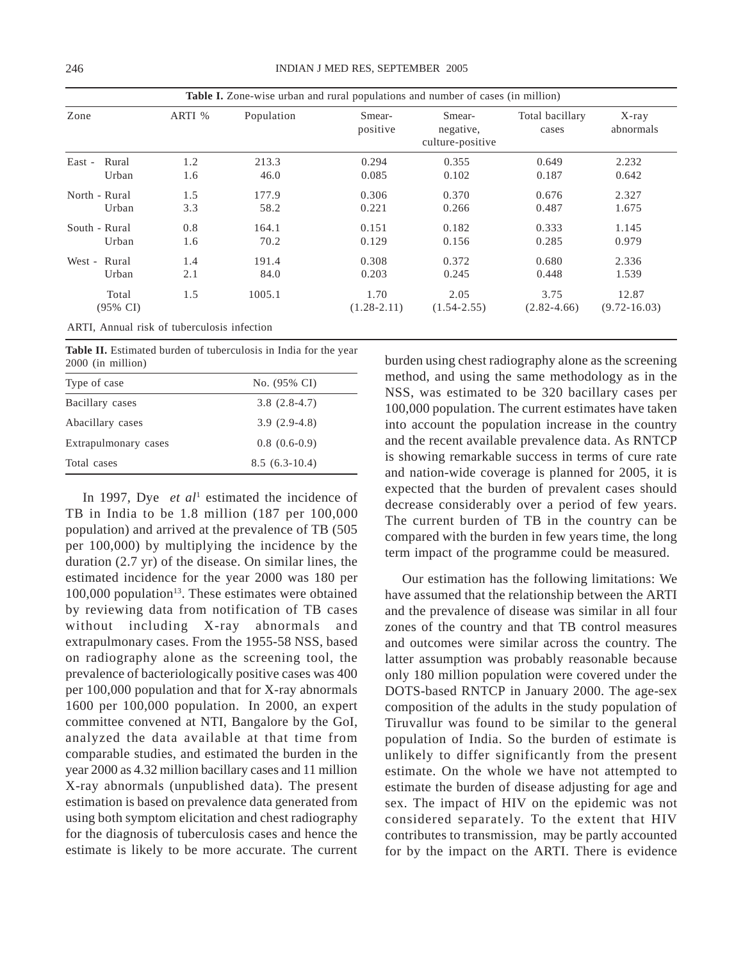| Zone                | ARTI % | Population | Smear-<br>positive | Smear-<br>negative,<br>culture-positive | Total bacillary<br>cases | $X$ -ray<br>abnormals |
|---------------------|--------|------------|--------------------|-----------------------------------------|--------------------------|-----------------------|
| Rural<br>East -     | 1.2    | 213.3      | 0.294              | 0.355                                   | 0.649                    | 2.232                 |
| Urban               | 1.6    | 46.0       | 0.085              | 0.102                                   | 0.187                    | 0.642                 |
| North - Rural       | 1.5    | 177.9      | 0.306              | 0.370                                   | 0.676                    | 2.327                 |
| Urban               | 3.3    | 58.2       | 0.221              | 0.266                                   | 0.487                    | 1.675                 |
| South - Rural       | 0.8    | 164.1      | 0.151              | 0.182                                   | 0.333                    | 1.145                 |
| Urban               | 1.6    | 70.2       | 0.129              | 0.156                                   | 0.285                    | 0.979                 |
| West - Rural        | 1.4    | 191.4      | 0.308              | 0.372                                   | 0.680                    | 2.336                 |
| Urban               | 2.1    | 84.0       | 0.203              | 0.245                                   | 0.448                    | 1.539                 |
| Total               | 1.5    | 1005.1     | 1.70               | 2.05                                    | 3.75                     | 12.87                 |
| $(95\% \text{ CI})$ |        |            | $(1.28 - 2.11)$    | $(1.54 - 2.55)$                         | $(2.82 - 4.66)$          | $(9.72 - 16.03)$      |

ARTI, Annual risk of tuberculosis infection

|  |                   |  | Table II. Estimated burden of tuberculosis in India for the year |  |  |  |
|--|-------------------|--|------------------------------------------------------------------|--|--|--|
|  | 2000 (in million) |  |                                                                  |  |  |  |

| Type of case         | No. (95% CI)    |
|----------------------|-----------------|
| Bacillary cases      | $3.8(2.8-4.7)$  |
| Abacillary cases     | $3.9(2.9-4.8)$  |
| Extrapulmonary cases | $0.8(0.6-0.9)$  |
| Total cases          | $8.5(6.3-10.4)$ |

In 1997, Dye *et al*<sup>1</sup> estimated the incidence of TB in India to be 1.8 million (187 per 100,000 population) and arrived at the prevalence of TB (505 per 100,000) by multiplying the incidence by the duration (2.7 yr) of the disease. On similar lines, the estimated incidence for the year 2000 was 180 per  $100,000$  population<sup>13</sup>. These estimates were obtained by reviewing data from notification of TB cases without including X-ray abnormals and extrapulmonary cases. From the 1955-58 NSS, based on radiography alone as the screening tool, the prevalence of bacteriologically positive cases was 400 per 100,000 population and that for X-ray abnormals 1600 per 100,000 population. In 2000, an expert committee convened at NTI, Bangalore by the GoI, analyzed the data available at that time from comparable studies, and estimated the burden in the year 2000 as 4.32 million bacillary cases and 11 million X-ray abnormals (unpublished data). The present estimation is based on prevalence data generated from using both symptom elicitation and chest radiography for the diagnosis of tuberculosis cases and hence the estimate is likely to be more accurate. The current

burden using chest radiography alone as the screening method, and using the same methodology as in the NSS, was estimated to be 320 bacillary cases per 100,000 population. The current estimates have taken into account the population increase in the country and the recent available prevalence data. As RNTCP is showing remarkable success in terms of cure rate and nation-wide coverage is planned for 2005, it is expected that the burden of prevalent cases should decrease considerably over a period of few years. The current burden of TB in the country can be compared with the burden in few years time, the long term impact of the programme could be measured.

Our estimation has the following limitations: We have assumed that the relationship between the ARTI and the prevalence of disease was similar in all four zones of the country and that TB control measures and outcomes were similar across the country. The latter assumption was probably reasonable because only 180 million population were covered under the DOTS-based RNTCP in January 2000. The age-sex composition of the adults in the study population of Tiruvallur was found to be similar to the general population of India. So the burden of estimate is unlikely to differ significantly from the present estimate. On the whole we have not attempted to estimate the burden of disease adjusting for age and sex. The impact of HIV on the epidemic was not considered separately. To the extent that HIV contributes to transmission, may be partly accounted for by the impact on the ARTI. There is evidence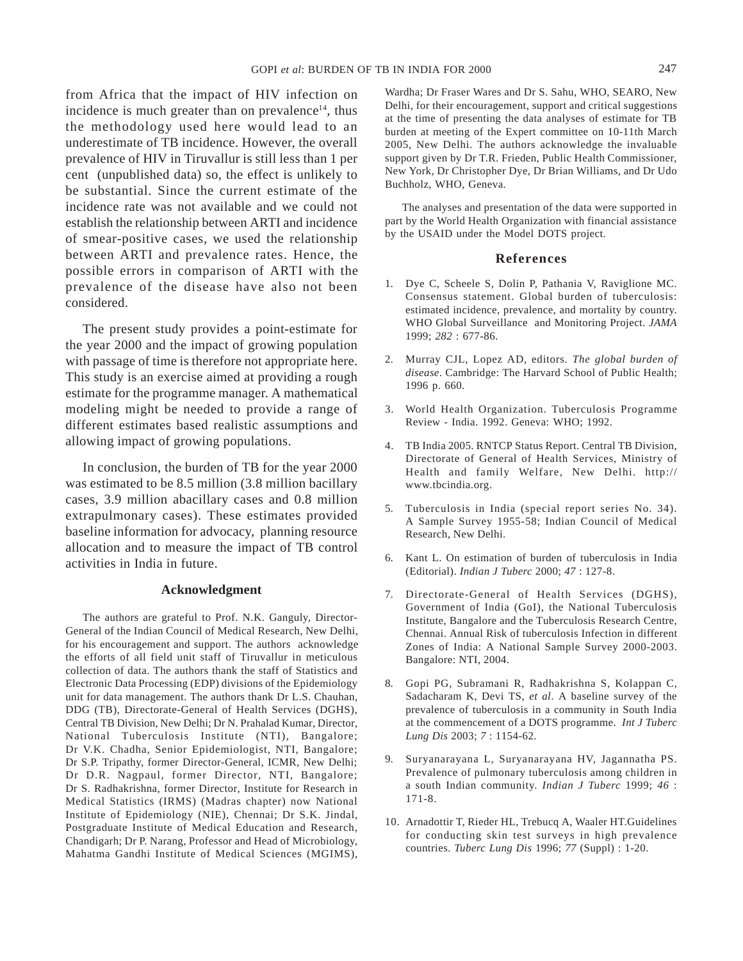247

from Africa that the impact of HIV infection on incidence is much greater than on prevalence $14$ , thus the methodology used here would lead to an underestimate of TB incidence. However, the overall prevalence of HIV in Tiruvallur is still less than 1 per cent (unpublished data) so, the effect is unlikely to be substantial. Since the current estimate of the incidence rate was not available and we could not establish the relationship between ARTI and incidence of smear-positive cases, we used the relationship between ARTI and prevalence rates. Hence, the possible errors in comparison of ARTI with the prevalence of the disease have also not been considered.

The present study provides a point-estimate for the year 2000 and the impact of growing population with passage of time is therefore not appropriate here. This study is an exercise aimed at providing a rough estimate for the programme manager. A mathematical modeling might be needed to provide a range of different estimates based realistic assumptions and allowing impact of growing populations.

In conclusion, the burden of TB for the year 2000 was estimated to be 8.5 million (3.8 million bacillary cases, 3.9 million abacillary cases and 0.8 million extrapulmonary cases). These estimates provided baseline information for advocacy, planning resource allocation and to measure the impact of TB control activities in India in future.

#### **Acknowledgment**

The authors are grateful to Prof. N.K. Ganguly, Director-General of the Indian Council of Medical Research, New Delhi, for his encouragement and support. The authors acknowledge the efforts of all field unit staff of Tiruvallur in meticulous collection of data. The authors thank the staff of Statistics and Electronic Data Processing (EDP) divisions of the Epidemiology unit for data management. The authors thank Dr L.S. Chauhan, DDG (TB), Directorate-General of Health Services (DGHS), Central TB Division, New Delhi; Dr N. Prahalad Kumar, Director, National Tuberculosis Institute (NTI), Bangalore; Dr V.K. Chadha, Senior Epidemiologist, NTI, Bangalore; Dr S.P. Tripathy, former Director-General, ICMR, New Delhi; Dr D.R. Nagpaul, former Director, NTI, Bangalore; Dr S. Radhakrishna, former Director, Institute for Research in Medical Statistics (IRMS) (Madras chapter) now National Institute of Epidemiology (NIE), Chennai; Dr S.K. Jindal, Postgraduate Institute of Medical Education and Research, Chandigarh; Dr P. Narang, Professor and Head of Microbiology, Mahatma Gandhi Institute of Medical Sciences (MGIMS),

Wardha; Dr Fraser Wares and Dr S. Sahu, WHO, SEARO, New Delhi, for their encouragement, support and critical suggestions at the time of presenting the data analyses of estimate for TB burden at meeting of the Expert committee on 10-11th March 2005, New Delhi. The authors acknowledge the invaluable support given by Dr T.R. Frieden, Public Health Commissioner, New York, Dr Christopher Dye, Dr Brian Williams, and Dr Udo Buchholz, WHO, Geneva.

The analyses and presentation of the data were supported in part by the World Health Organization with financial assistance by the USAID under the Model DOTS project.

### **References**

- 1. Dye C, Scheele S, Dolin P, Pathania V, Raviglione MC. Consensus statement. Global burden of tuberculosis: estimated incidence, prevalence, and mortality by country. WHO Global Surveillance and Monitoring Project. *JAMA* 1999; *282* : 677-86.
- 2. Murray CJL, Lopez AD, editors. *The global burden of disease*. Cambridge: The Harvard School of Public Health; 1996 p. 660.
- 3. World Health Organization. Tuberculosis Programme Review - India. 1992. Geneva: WHO; 1992.
- 4. TB India 2005. RNTCP Status Report. Central TB Division, Directorate of General of Health Services, Ministry of Health and family Welfare, New Delhi. http:// www.tbcindia.org.
- 5. Tuberculosis in India (special report series No. 34). A Sample Survey 1955-58; Indian Council of Medical Research, New Delhi.
- 6. Kant L. On estimation of burden of tuberculosis in India (Editorial). *Indian J Tuberc* 2000; *47* : 127-8.
- 7. Directorate-General of Health Services (DGHS), Government of India (GoI), the National Tuberculosis Institute, Bangalore and the Tuberculosis Research Centre, Chennai. Annual Risk of tuberculosis Infection in different Zones of India: A National Sample Survey 2000-2003. Bangalore: NTI, 2004.
- 8. Gopi PG, Subramani R, Radhakrishna S, Kolappan C, Sadacharam K, Devi TS, *et al*. A baseline survey of the prevalence of tuberculosis in a community in South India at the commencement of a DOTS programme. *Int J Tuberc Lung Dis* 2003; *7* : 1154-62.
- 9. Suryanarayana L, Suryanarayana HV, Jagannatha PS. Prevalence of pulmonary tuberculosis among children in a south Indian community. *Indian J Tuberc* 1999; *46* : 171-8.
- 10. Arnadottir T, Rieder HL, Trebucq A, Waaler HT.Guidelines for conducting skin test surveys in high prevalence countries. *Tuberc Lung Dis* 1996; *77* (Suppl) : 1-20.